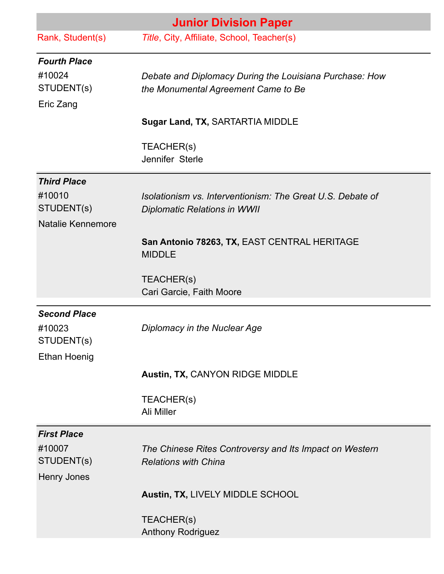| <b>Junior Division Paper</b>                                    |                                                                                                   |
|-----------------------------------------------------------------|---------------------------------------------------------------------------------------------------|
| Rank, Student(s)                                                | Title, City, Affiliate, School, Teacher(s)                                                        |
| <b>Fourth Place</b><br>#10024<br>STUDENT(s)<br>Eric Zang        | Debate and Diplomacy During the Louisiana Purchase: How<br>the Monumental Agreement Came to Be    |
|                                                                 | Sugar Land, TX, SARTARTIA MIDDLE                                                                  |
|                                                                 | TEACHER(s)<br>Jennifer Sterle                                                                     |
| <b>Third Place</b><br>#10010<br>STUDENT(s)<br>Natalie Kennemore | Isolationism vs. Interventionism: The Great U.S. Debate of<br><b>Diplomatic Relations in WWII</b> |
|                                                                 | San Antonio 78263, TX, EAST CENTRAL HERITAGE<br><b>MIDDLE</b>                                     |
|                                                                 | TEACHER(s)<br>Cari Garcie, Faith Moore                                                            |
| <b>Second Place</b><br>#10023<br>STUDENT(s)                     | Diplomacy in the Nuclear Age                                                                      |
| <b>Ethan Hoenig</b>                                             | Austin, TX, CANYON RIDGE MIDDLE                                                                   |
|                                                                 | TEACHER(s)<br>Ali Miller                                                                          |
| <b>First Place</b><br>#10007<br>STUDENT(s)<br>Henry Jones       | The Chinese Rites Controversy and Its Impact on Western<br><b>Relations with China</b>            |
|                                                                 | Austin, TX, LIVELY MIDDLE SCHOOL                                                                  |
|                                                                 | TEACHER(s)<br><b>Anthony Rodriguez</b>                                                            |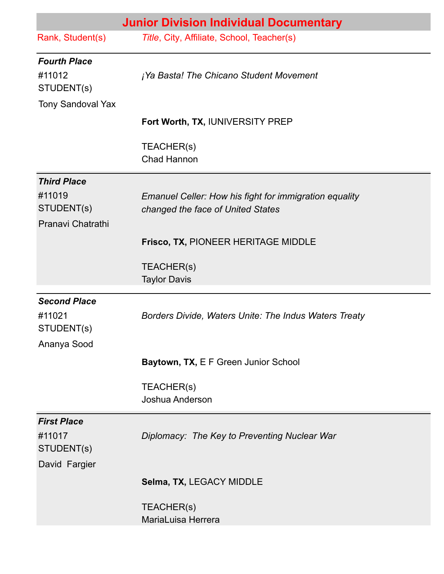|                                                                         | <b>Junior Division Individual Documentary</b>                                               |
|-------------------------------------------------------------------------|---------------------------------------------------------------------------------------------|
| Rank, Student(s)                                                        | Title, City, Affiliate, School, Teacher(s)                                                  |
| <b>Fourth Place</b><br>#11012<br>STUDENT(s)<br><b>Tony Sandoval Yax</b> | <i>i</i> Ya Basta! The Chicano Student Movement                                             |
|                                                                         | Fort Worth, TX, IUNIVERSITY PREP                                                            |
|                                                                         | TEACHER(s)<br><b>Chad Hannon</b>                                                            |
| <b>Third Place</b><br>#11019<br>STUDENT(s)<br>Pranavi Chatrathi         | Emanuel Celler: How his fight for immigration equality<br>changed the face of United States |
|                                                                         | <b>Frisco, TX, PIONEER HERITAGE MIDDLE</b>                                                  |
|                                                                         | TEACHER(s)<br><b>Taylor Davis</b>                                                           |
| <b>Second Place</b><br>#11021<br>STUDENT(s)<br>Ananya Sood              | Borders Divide, Waters Unite: The Indus Waters Treaty                                       |
|                                                                         | Baytown, TX, E F Green Junior School                                                        |
|                                                                         | TEACHER(s)<br>Joshua Anderson                                                               |
| <b>First Place</b><br>#11017<br>STUDENT(s)<br>David Fargier             | Diplomacy: The Key to Preventing Nuclear War                                                |
|                                                                         | Selma, TX, LEGACY MIDDLE                                                                    |
|                                                                         | TEACHER(s)<br>MariaLuisa Herrera                                                            |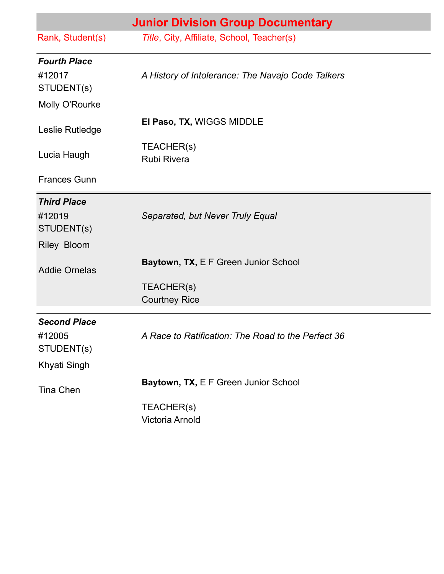| <b>Junior Division Group Documentary</b> |                                                    |
|------------------------------------------|----------------------------------------------------|
| Rank, Student(s)                         | Title, City, Affiliate, School, Teacher(s)         |
| <b>Fourth Place</b>                      |                                                    |
| #12017                                   | A History of Intolerance: The Navajo Code Talkers  |
| STUDENT(s)                               |                                                    |
| Molly O'Rourke                           |                                                    |
| Leslie Rutledge                          | El Paso, TX, WIGGS MIDDLE                          |
| Lucia Haugh                              | TEACHER(s)<br><b>Rubi Rivera</b>                   |
| <b>Frances Gunn</b>                      |                                                    |
| <b>Third Place</b>                       |                                                    |
| #12019                                   | Separated, but Never Truly Equal                   |
| STUDENT(s)                               |                                                    |
| Riley Bloom                              |                                                    |
| <b>Addie Ornelas</b>                     | Baytown, TX, E F Green Junior School               |
|                                          | TEACHER(s)                                         |
|                                          | <b>Courtney Rice</b>                               |
| <b>Second Place</b>                      |                                                    |
| #12005<br>STUDENT(s)                     | A Race to Ratification: The Road to the Perfect 36 |
| <b>Khyati Singh</b>                      |                                                    |
| <b>Tina Chen</b>                         | Baytown, TX, E F Green Junior School               |
|                                          | TEACHER(s)<br><b>Victoria Arnold</b>               |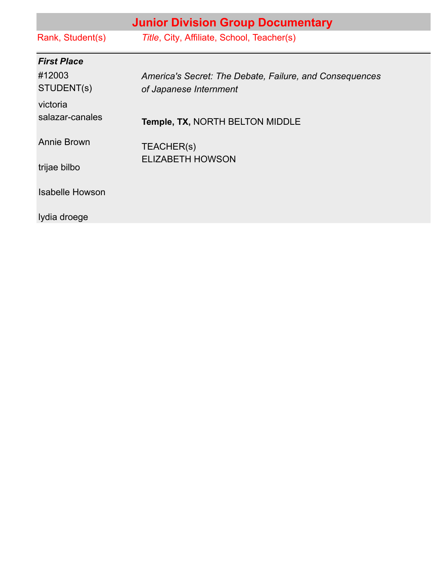|                             | <b>Junior Division Group Documentary</b>                                          |
|-----------------------------|-----------------------------------------------------------------------------------|
| Rank, Student(s)            | Title, City, Affiliate, School, Teacher(s)                                        |
| <b>First Place</b>          |                                                                                   |
| #12003<br>STUDENT(s)        | America's Secret: The Debate, Failure, and Consequences<br>of Japanese Internment |
| victoria<br>salazar-canales | Temple, TX, NORTH BELTON MIDDLE                                                   |
| Annie Brown                 | TEACHER(s)                                                                        |
| trijae bilbo                | <b>ELIZABETH HOWSON</b>                                                           |
| <b>Isabelle Howson</b>      |                                                                                   |
| Iydia droege                |                                                                                   |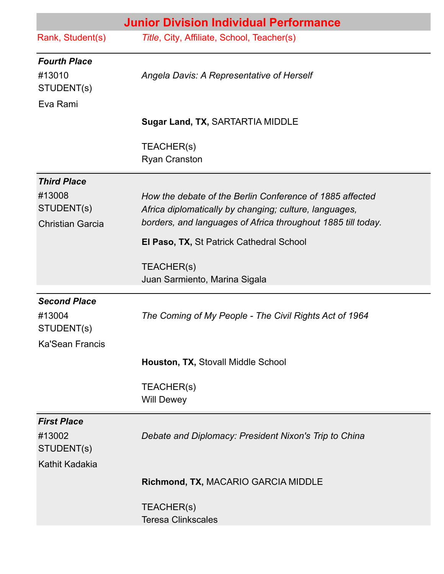| <b>Junior Division Individual Performance</b>                         |                                                                                                                                                                                    |
|-----------------------------------------------------------------------|------------------------------------------------------------------------------------------------------------------------------------------------------------------------------------|
| Rank, Student(s)                                                      | Title, City, Affiliate, School, Teacher(s)                                                                                                                                         |
| <b>Fourth Place</b><br>#13010<br>STUDENT(s)<br>Eva Rami               | Angela Davis: A Representative of Herself                                                                                                                                          |
|                                                                       | Sugar Land, TX, SARTARTIA MIDDLE                                                                                                                                                   |
|                                                                       | TEACHER(s)<br><b>Ryan Cranston</b>                                                                                                                                                 |
| <b>Third Place</b>                                                    |                                                                                                                                                                                    |
| #13008<br>STUDENT(s)<br><b>Christian Garcia</b>                       | How the debate of the Berlin Conference of 1885 affected<br>Africa diplomatically by changing; culture, languages,<br>borders, and languages of Africa throughout 1885 till today. |
|                                                                       | El Paso, TX, St Patrick Cathedral School                                                                                                                                           |
|                                                                       | TEACHER(s)<br>Juan Sarmiento, Marina Sigala                                                                                                                                        |
| <b>Second Place</b><br>#13004<br>STUDENT(s)<br><b>Ka'Sean Francis</b> | The Coming of My People - The Civil Rights Act of 1964                                                                                                                             |
|                                                                       | Houston, TX, Stovall Middle School                                                                                                                                                 |
|                                                                       | TEACHER(s)<br><b>Will Dewey</b>                                                                                                                                                    |
| <b>First Place</b><br>#13002<br>STUDENT(s)<br>Kathit Kadakia          | Debate and Diplomacy: President Nixon's Trip to China                                                                                                                              |
|                                                                       | Richmond, TX, MACARIO GARCIA MIDDLE                                                                                                                                                |
|                                                                       | TEACHER(s)<br><b>Teresa Clinkscales</b>                                                                                                                                            |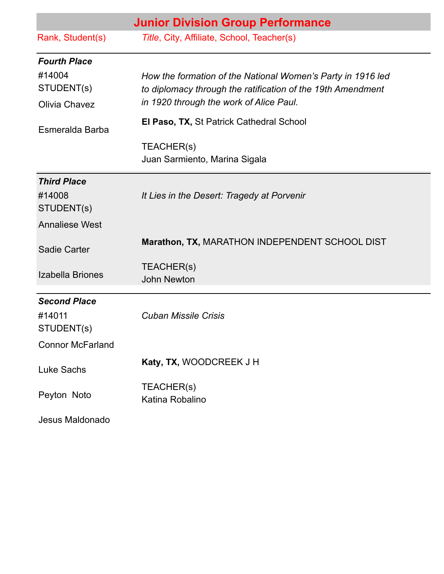|                                       | <b>Junior Division Group Performance</b>                                                                                                                              |
|---------------------------------------|-----------------------------------------------------------------------------------------------------------------------------------------------------------------------|
| Rank, Student(s)                      | Title, City, Affiliate, School, Teacher(s)                                                                                                                            |
| <b>Fourth Place</b>                   |                                                                                                                                                                       |
| #14004<br>STUDENT(s)<br>Olivia Chavez | How the formation of the National Women's Party in 1916 led<br>to diplomacy through the ratification of the 19th Amendment<br>in 1920 through the work of Alice Paul. |
| Esmeralda Barba                       | El Paso, TX, St Patrick Cathedral School                                                                                                                              |
|                                       | TEACHER(s)<br>Juan Sarmiento, Marina Sigala                                                                                                                           |
| <b>Third Place</b>                    |                                                                                                                                                                       |
| #14008<br>STUDENT(s)                  | It Lies in the Desert: Tragedy at Porvenir                                                                                                                            |
| <b>Annaliese West</b>                 |                                                                                                                                                                       |
| <b>Sadie Carter</b>                   | Marathon, TX, MARATHON INDEPENDENT SCHOOL DIST                                                                                                                        |
| Izabella Briones                      | TEACHER(s)<br><b>John Newton</b>                                                                                                                                      |
| <b>Second Place</b>                   |                                                                                                                                                                       |
| #14011<br>STUDENT(s)                  | <b>Cuban Missile Crisis</b>                                                                                                                                           |
| <b>Connor McFarland</b>               |                                                                                                                                                                       |
| <b>Luke Sachs</b>                     | Katy, TX, WOODCREEK J H                                                                                                                                               |
| Peyton Noto                           | TEACHER(s)<br>Katina Robalino                                                                                                                                         |
| Jesus Maldonado                       |                                                                                                                                                                       |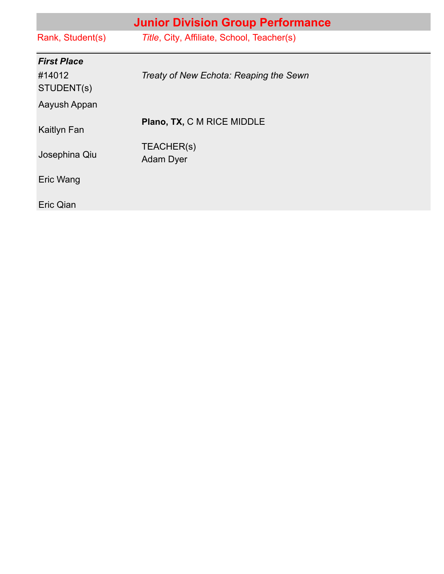| <b>Junior Division Group Performance</b> |                                            |
|------------------------------------------|--------------------------------------------|
| Rank, Student(s)                         | Title, City, Affiliate, School, Teacher(s) |
| <b>First Place</b>                       |                                            |
| #14012<br>STUDENT(s)                     | Treaty of New Echota: Reaping the Sewn     |
| Aayush Appan                             |                                            |
| Kaitlyn Fan                              | Plano, TX, C M RICE MIDDLE                 |
| Josephina Qiu                            | TEACHER(s)<br>Adam Dyer                    |
| Eric Wang                                |                                            |
| Eric Qian                                |                                            |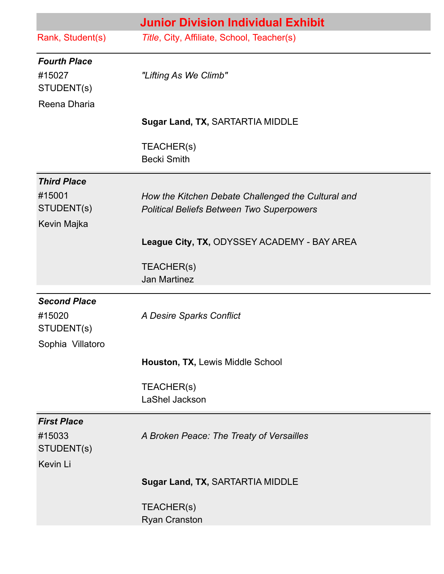|                                                                 | <b>Junior Division Individual Exhibit</b>                                                              |
|-----------------------------------------------------------------|--------------------------------------------------------------------------------------------------------|
| Rank, Student(s)                                                | Title, City, Affiliate, School, Teacher(s)                                                             |
| <b>Fourth Place</b><br>#15027<br>STUDENT(s)<br>Reena Dharia     | "Lifting As We Climb"                                                                                  |
|                                                                 | Sugar Land, TX, SARTARTIA MIDDLE                                                                       |
|                                                                 | TEACHER(s)<br><b>Becki Smith</b>                                                                       |
| <b>Third Place</b><br>#15001<br>STUDENT(s)<br>Kevin Majka       | How the Kitchen Debate Challenged the Cultural and<br><b>Political Beliefs Between Two Superpowers</b> |
|                                                                 | League City, TX, ODYSSEY ACADEMY - BAY AREA                                                            |
|                                                                 | TEACHER(s)<br><b>Jan Martinez</b>                                                                      |
| <b>Second Place</b><br>#15020<br>STUDENT(s)<br>Sophia Villatoro | A Desire Sparks Conflict                                                                               |
|                                                                 | Houston, TX, Lewis Middle School                                                                       |
|                                                                 | TEACHER(s)<br>LaShel Jackson                                                                           |
| <b>First Place</b><br>#15033<br>STUDENT(s)<br>Kevin Li          | A Broken Peace: The Treaty of Versailles                                                               |
|                                                                 | Sugar Land, TX, SARTARTIA MIDDLE                                                                       |
|                                                                 | TEACHER(s)<br><b>Ryan Cranston</b>                                                                     |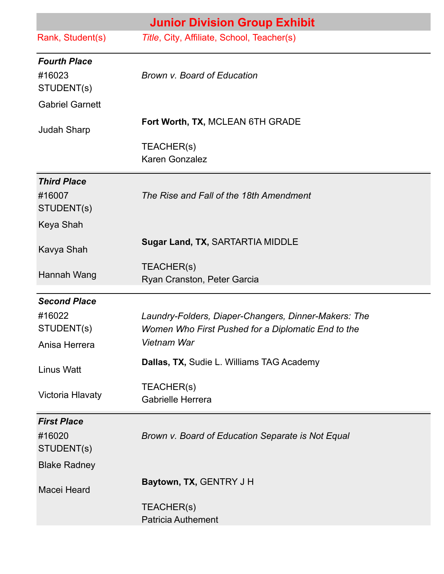|                                                                       | <b>Junior Division Group Exhibit</b>                                                                                                                                   |
|-----------------------------------------------------------------------|------------------------------------------------------------------------------------------------------------------------------------------------------------------------|
| Rank, Student(s)                                                      | Title, City, Affiliate, School, Teacher(s)                                                                                                                             |
| <b>Fourth Place</b><br>#16023<br>STUDENT(s)<br><b>Gabriel Garnett</b> | Brown v. Board of Education                                                                                                                                            |
| <b>Judah Sharp</b>                                                    | Fort Worth, TX, MCLEAN 6TH GRADE                                                                                                                                       |
|                                                                       | TEACHER(s)<br>Karen Gonzalez                                                                                                                                           |
| <b>Third Place</b><br>#16007<br>STUDENT(s)                            | The Rise and Fall of the 18th Amendment                                                                                                                                |
| Keya Shah<br>Kavya Shah                                               | Sugar Land, TX, SARTARTIA MIDDLE                                                                                                                                       |
| Hannah Wang                                                           | TEACHER(s)<br>Ryan Cranston, Peter Garcia                                                                                                                              |
| <b>Second Place</b><br>#16022<br>STUDENT(s)<br>Anisa Herrera          | Laundry-Folders, Diaper-Changers, Dinner-Makers: The<br>Women Who First Pushed for a Diplomatic End to the<br>Vietnam War<br>Dallas, TX, Sudie L. Williams TAG Academy |
| <b>Linus Watt</b><br>Victoria Hlavaty                                 | TEACHER(s)<br><b>Gabrielle Herrera</b>                                                                                                                                 |
| <b>First Place</b><br>#16020<br>STUDENT(s)                            | Brown v. Board of Education Separate is Not Equal                                                                                                                      |
| <b>Blake Radney</b><br>Macei Heard                                    | Baytown, TX, GENTRY J H<br>TEACHER(s)<br><b>Patricia Authement</b>                                                                                                     |
|                                                                       |                                                                                                                                                                        |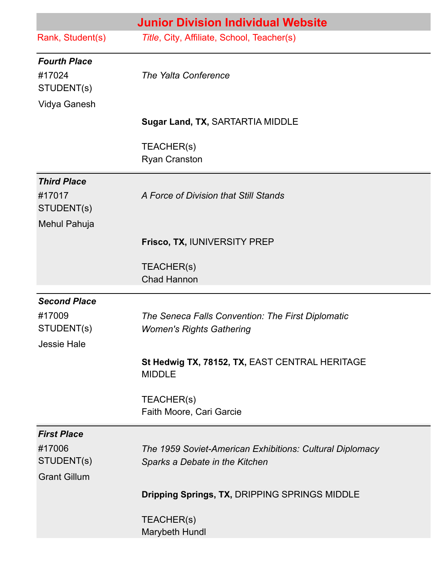|                                                                   | <b>Junior Division Individual Website</b>                                                  |
|-------------------------------------------------------------------|--------------------------------------------------------------------------------------------|
| Rank, Student(s)                                                  | Title, City, Affiliate, School, Teacher(s)                                                 |
| <b>Fourth Place</b><br>#17024<br>STUDENT(s)<br>Vidya Ganesh       | The Yalta Conference                                                                       |
|                                                                   | Sugar Land, TX, SARTARTIA MIDDLE                                                           |
|                                                                   | TEACHER(s)<br><b>Ryan Cranston</b>                                                         |
| <b>Third Place</b><br>#17017<br>STUDENT(s)<br>Mehul Pahuja        | A Force of Division that Still Stands                                                      |
|                                                                   | Frisco, TX, IUNIVERSITY PREP                                                               |
|                                                                   | TEACHER(s)<br><b>Chad Hannon</b>                                                           |
| <b>Second Place</b><br>#17009<br>STUDENT(s)<br><b>Jessie Hale</b> | The Seneca Falls Convention: The First Diplomatic<br><b>Women's Rights Gathering</b>       |
|                                                                   | St Hedwig TX, 78152, TX, EAST CENTRAL HERITAGE<br><b>MIDDLE</b>                            |
|                                                                   | TEACHER(s)<br>Faith Moore, Cari Garcie                                                     |
| <b>First Place</b><br>#17006<br>STUDENT(s)<br><b>Grant Gillum</b> | The 1959 Soviet-American Exhibitions: Cultural Diplomacy<br>Sparks a Debate in the Kitchen |
|                                                                   | Dripping Springs, TX, DRIPPING SPRINGS MIDDLE                                              |
|                                                                   | TEACHER(s)<br>Marybeth Hundl                                                               |